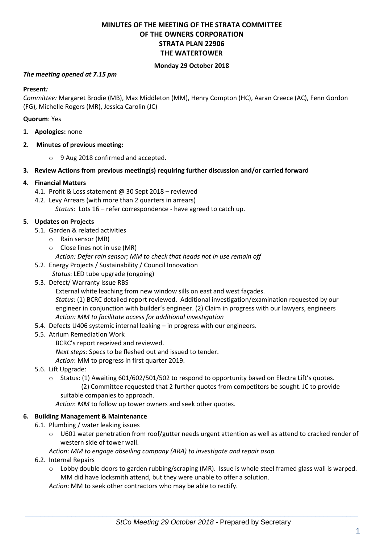# **MINUTES OF THE MEETING OF THE STRATA COMMITTEE OF THE OWNERS CORPORATION STRATA PLAN 22906 THE WATERTOWER**

#### **Monday 29 October 2018**

#### *The meeting opened at 7.15 pm*

#### **Present***:*

*Committee:* Margaret Brodie (MB), Max Middleton (MM), Henry Compton (HC), Aaran Creece (AC), Fenn Gordon (FG), Michelle Rogers (MR), Jessica Carolin (JC)

#### **Quorum**: Yes

- **1. Apologies:** none
- **2. Minutes of previous meeting:**
	- o 9 Aug 2018 confirmed and accepted.
- **3. Review Actions from previous meeting(s) requiring further discussion and/or carried forward**

## **4. Financial Matters**

- 4.1. Profit & Loss statement @ 30 Sept 2018 reviewed
- 4.2. Levy Arrears (with more than 2 quarters in arrears) *Status:* Lots 16 – refer correspondence - have agreed to catch up.

## **5. Updates on Projects**

- 5.1. Garden & related activities
	- o Rain sensor (MR)
	- o Close lines not in use (MR)
		- *Action: Defer rain sensor; MM to check that heads not in use remain off*
- 5.2. Energy Projects / Sustainability / Council Innovation
	- *Status*: LED tube upgrade (ongoing)
- 5.3. Defect/ Warranty Issue RBS

External white leaching from new window sills on east and west façades.

*Status:* (1) BCRC detailed report reviewed. Additional investigation/examination requested by our engineer in conjunction with builder's engineer. (2) Claim in progress with our lawyers, engineers *Action: MM to facilitate access for additional investigation*

- 5.4. Defects U406 systemic internal leaking in progress with our engineers.
- 5.5. Atrium Remediation Work
	- BCRC's report received and reviewed.
	- *Next steps:* Specs to be fleshed out and issued to tender.
	- *Action*: MM to progress in first quarter 2019.
- 5.6. Lift Upgrade:
	- o Status: (1) Awaiting 601/602/501/502 to respond to opportunity based on Electra Lift's quotes. (2) Committee requested that 2 further quotes from competitors be sought. JC to provide
		- suitable companies to approach.

*Action*: *MM* to follow up tower owners and seek other quotes.

#### **6. Building Management & Maintenance**

- 6.1. Plumbing / water leaking issues
	- $\circ$  U601 water penetration from roof/gutter needs urgent attention as well as attend to cracked render of western side of tower wall.

*Action*: *MM to engage abseiling company (ARA) to investigate and repair asap.*

- 6.2. Internal Repairs
	- o Lobby double doors to garden rubbing/scraping (MR). Issue is whole steel framed glass wall is warped. MM did have locksmith attend, but they were unable to offer a solution.

*Action*: MM to seek other contractors who may be able to rectify.

 $\_$  , and the set of the set of the set of the set of the set of the set of the set of the set of the set of the set of the set of the set of the set of the set of the set of the set of the set of the set of the set of th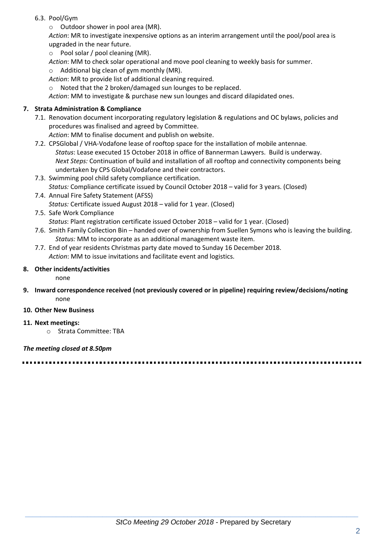- 6.3. Pool/Gym
	- o Outdoor shower in pool area (MR).

*Action*: MR to investigate inexpensive options as an interim arrangement until the pool/pool area is upgraded in the near future.

- o Pool solar / pool cleaning (MR).
- *Action*: MM to check solar operational and move pool cleaning to weekly basis for summer.
- $\circ$  Additional big clean of gym monthly (MR).
- *Action*: MR to provide list of additional cleaning required.
- o Noted that the 2 broken/damaged sun lounges to be replaced.

*Action*: MM to investigate & purchase new sun lounges and discard dilapidated ones.

# **7. Strata Administration & Compliance**

- 7.1. Renovation document incorporating regulatory legislation & regulations and OC bylaws, policies and procedures was finalised and agreed by Committee.
	- *Action*: MM to finalise document and publish on website.
- 7.2. CPSGlobal / VHA-Vodafone lease of rooftop space for the installation of mobile antennae*. Status*: Lease executed 15 October 2018 in office of Bannerman Lawyers. Build is underway. *Next Steps:* Continuation of build and installation of all rooftop and connectivity components being undertaken by CPS Global/Vodafone and their contractors.
- 7.3. Swimming pool child safety compliance certification. *Status:* Compliance certificate issued by Council October 2018 – valid for 3 years. (Closed)
- 7.4. Annual Fire Safety Statement (AFSS) *Status:* Certificate issued August 2018 – valid for 1 year. (Closed)
- 7.5. Safe Work Compliance *Status*: Plant registration certificate issued October 2018 – valid for 1 year. (Closed)
- 7.6. Smith Family Collection Bin handed over of ownership from Suellen Symons who is leaving the building. *Status:* MM to incorporate as an additional management waste item.
- 7.7. End of year residents Christmas party date moved to Sunday 16 December 2018. *Action*: MM to issue invitations and facilitate event and logistics.

## **8. Other incidents/activities**

none

- **9. Inward correspondence received (not previously covered or in pipeline) requiring review/decisions/noting** none
- **10. Other New Business**
- **11. Next meetings:** 
	- o Strata Committee: TBA

## *The meeting closed at 8.50pm*

 $\_$  , and the set of the set of the set of the set of the set of the set of the set of the set of the set of the set of the set of the set of the set of the set of the set of the set of the set of the set of the set of th